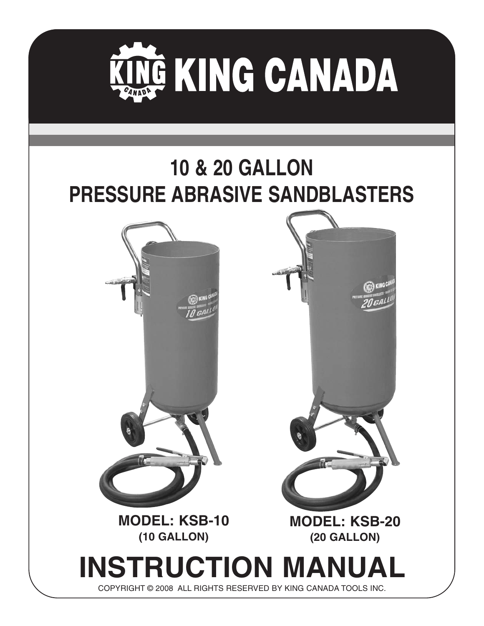

## **10 & 20 GALLON PRESSURE ABRASIVE SANDBLASTERS**



**(10 GALLON)**



# **INSTRUCTION MANUAL**

COPYRIGHT © 2008 ALL RIGHTS RESERVED BY KING CANADA TOOLS INC.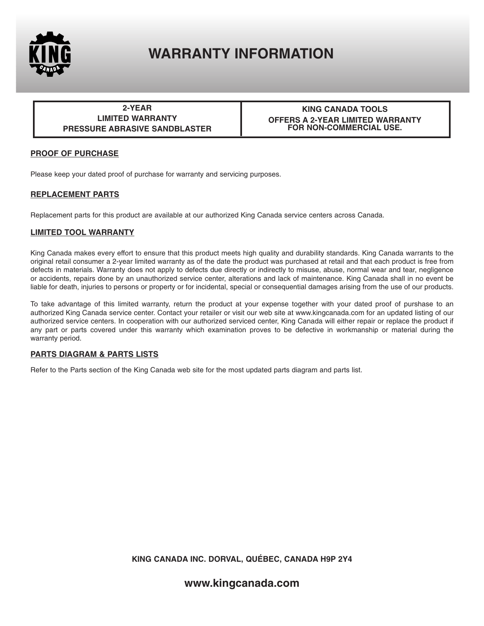

## **WARRANTY INFORMATION**

**2-YEAR LIMITED WARRANTY PRESSURE ABRASIVE SANDBLASTER**

#### **KING CANADA TOOLS OFFERS A 2-YEAR LIMITED WARRANTY FOR NON-COMMERCIAL USE.**

#### **PROOF OF PURCHASE**

Please keep your dated proof of purchase for warranty and servicing purposes.

#### **REPLACEMENT PARTS**

Replacement parts for this product are available at our authorized King Canada service centers across Canada.

#### **LIMITED TOOL WARRANTY**

King Canada makes every effort to ensure that this product meets high quality and durability standards. King Canada warrants to the original retail consumer a 2-year limited warranty as of the date the product was purchased at retail and that each product is free from defects in materials. Warranty does not apply to defects due directly or indirectly to misuse, abuse, normal wear and tear, negligence or accidents, repairs done by an unauthorized service center, alterations and lack of maintenance. King Canada shall in no event be liable for death, injuries to persons or property or for incidental, special or consequential damages arising from the use of our products.

To take advantage of this limited warranty, return the product at your expense together with your dated proof of purshase to an authorized King Canada service center. Contact your retailer or visit our web site at www.kingcanada.com for an updated listing of our authorized service centers. In cooperation with our authorized serviced center, King Canada will either repair or replace the product if any part or parts covered under this warranty which examination proves to be defective in workmanship or material during the warranty period.

#### **PARTS DIAGRAM & PARTS LISTS**

Refer to the Parts section of the King Canada web site for the most updated parts diagram and parts list.

**KING CANADA INC. DORVAL, QUÉBEC, CANADA H9P 2Y4**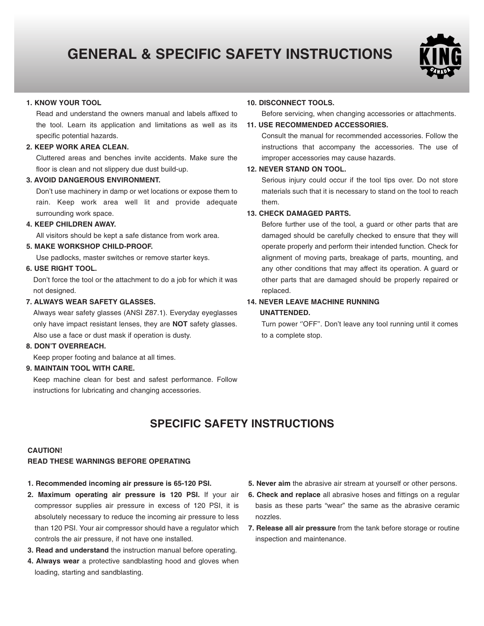## **GENERAL & SPECIFIC SAFETY INSTRUCTIONS**



#### **1. KNOW YOUR TOOL**

Read and understand the owners manual and labels affixed to the tool. Learn its application and limitations as well as its specific potential hazards.

#### **2. KEEP WORK AREA CLEAN.**

Cluttered areas and benches invite accidents. Make sure the floor is clean and not slippery due dust build-up.

#### **3. AVOID DANGEROUS ENVIRONMENT.**

Don't use machinery in damp or wet locations or expose them to rain. Keep work area well lit and provide adequate surrounding work space.

#### **4. KEEP CHILDREN AWAY.**

All visitors should be kept a safe distance from work area.

#### **5. MAKE WORKSHOP CHILD-PROOF.**

Use padlocks, master switches or remove starter keys.

#### **6. USE RIGHT TOOL.**

Don't force the tool or the attachment to do a job for which it was not designed.

#### **7. ALWAYS WEAR SAFETY GLASSES.**

Always wear safety glasses (ANSI Z87.1). Everyday eyeglasses only have impact resistant lenses, they are **NOT** safety glasses. Also use a face or dust mask if operation is dusty.

#### **8. DON'T OVERREACH.**

Keep proper footing and balance at all times.

#### **9. MAINTAIN TOOL WITH CARE.**

Keep machine clean for best and safest performance. Follow instructions for lubricating and changing accessories.

#### **10. DISCONNECT TOOLS.**

Before servicing, when changing accessories or attachments.

#### **11. USE RECOMMENDED ACCESSORIES.**

Consult the manual for recommended accessories. Follow the instructions that accompany the accessories. The use of improper accessories may cause hazards.

#### **12. NEVER STAND ON TOOL.**

Serious injury could occur if the tool tips over. Do not store materials such that it is necessary to stand on the tool to reach them.

#### **13. CHECK DAMAGED PARTS.**

Before further use of the tool, a guard or other parts that are damaged should be carefully checked to ensure that they will operate properly and perform their intended function. Check for alignment of moving parts, breakage of parts, mounting, and any other conditions that may affect its operation. A guard or other parts that are damaged should be properly repaired or replaced.

#### **14. NEVER LEAVE MACHINE RUNNING**

#### **UNATTENDED.**

Turn power "OFF". Don't leave any tool running until it comes to a complete stop.

### **SPECIFIC SAFETY INSTRUCTIONS**

#### **CAUTION!**

#### **READ THESE WARNINGS BEFORE OPERATING**

- **1. Recommended incoming air pressure is 65-120 PSI.**
- **2. Maximum operating air pressure is 120 PSI.** If your air compressor supplies air pressure in excess of 120 PSI, it is absolutely necessary to reduce the incoming air pressure to less than 120 PSI. Your air compressor should have a regulator which controls the air pressure, if not have one installed.
- **3. Read and understand** the instruction manual before operating.
- **4. Always wear** a protective sandblasting hood and gloves when loading, starting and sandblasting.
- **5. Never aim** the abrasive air stream at yourself or other persons.
- **6. Check and replace** all abrasive hoses and fittings on a regular basis as these parts "wear" the same as the abrasive ceramic nozzles.
- **7. Release all air pressure** from the tank before storage or routine inspection and maintenance.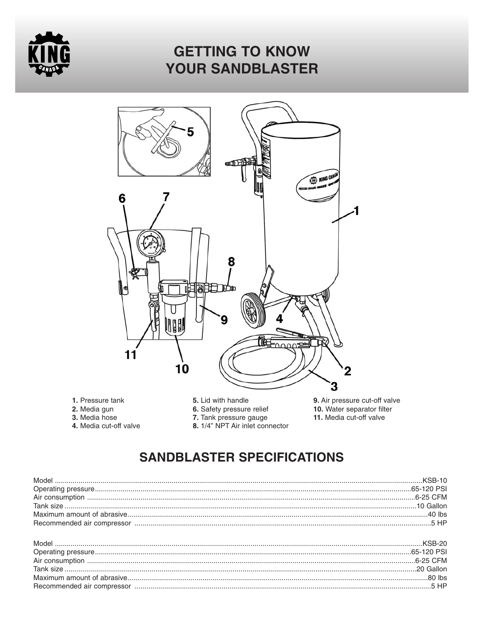

## **GETTING TO KNOW YOUR SANDBLASTER**



- 1. Pressure tank
- 2. Media gun
- 3. Media hose
- 4. Media cut-off valve
- 5. Lid with handle
- 6. Safety pressure relief
- 7. Tank pressure gauge
- 8. 1/4" NPT Air inlet connector
- 9. Air pressure cut-off valve 10. Water separator filter 11. Media cut-off valve

## **SANDBLASTER SPECIFICATIONS**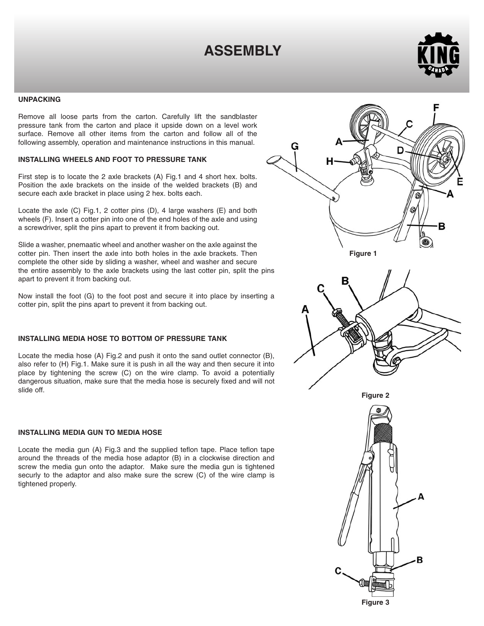## **ASSEMBLY**



#### **UNPACKING**

Remove all loose parts from the carton. Carefully lift the sandblaster pressure tank from the carton and place it upside down on a level work surface. Remove all other items from the carton and follow all of the following assembly, operation and maintenance instructions in this manual.

#### **INSTALLING WHEELS AND FOOT TO PRESSURE TANK**

First step is to locate the 2 axle brackets (A) Fig.1 and 4 short hex. bolts. Position the axle brackets on the inside of the welded brackets (B) and secure each axle bracket in place using 2 hex. bolts each.

Locate the axle (C) Fig.1, 2 cotter pins (D), 4 large washers (E) and both wheels (F). Insert a cotter pin into one of the end holes of the axle and using a screwdriver, split the pins apart to prevent it from backing out.

Slide a washer, pnemaatic wheel and another washer on the axle against the cotter pin. Then insert the axle into both holes in the axle brackets. Then complete the other side by sliding a washer, wheel and washer and secure the entire assembly to the axle brackets using the last cotter pin, split the pins apart to prevent it from backing out.

Now install the foot (G) to the foot post and secure it into place by inserting a cotter pin, split the pins apart to prevent it from backing out.

#### **INSTALLING MEDIA HOSE TO BOTTOM OF PRESSURE TANK**

Locate the media hose (A) Fig.2 and push it onto the sand outlet connector (B), also refer to (H) Fig.1. Make sure it is push in all the way and then secure it into place by tightening the screw (C) on the wire clamp. To avoid a potentially dangerous situation, make sure that the media hose is securely fixed and will not slide off.

#### **INSTALLING MEDIA GUN TO MEDIA HOSE**

Locate the media gun (A) Fig.3 and the supplied teflon tape. Place teflon tape around the threads of the media hose adaptor (B) in a clockwise direction and screw the media gun onto the adaptor. Make sure the media gun is tightened securly to the adaptor and also make sure the screw (C) of the wire clamp is tightened properly.



**Figure 3**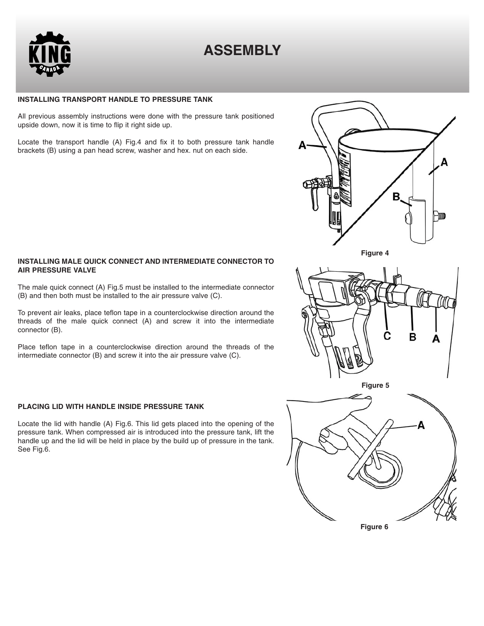

## **ASSEMBLY**

#### **INSTALLING TRANSPORT HANDLE TO PRESSURE TANK**

All previous assembly instructions were done with the pressure tank positioned upside down, now it is time to flip it right side up.

Locate the transport handle (A) Fig.4 and fix it to both pressure tank handle brackets (B) using a pan head screw, washer and hex. nut on each side.

#### **INSTALLING MALE QUICK CONNECT AND INTERMEDIATE CONNECTOR TO AIR PRESSURE VALVE**

The male quick connect (A) Fig.5 must be installed to the intermediate connector (B) and then both must be installed to the air pressure valve (C).

To prevent air leaks, place teflon tape in a counterclockwise direction around the threads of the male quick connect (A) and screw it into the intermediate connector (B).

Place teflon tape in a counterclockwise direction around the threads of the intermediate connector (B) and screw it into the air pressure valve (C).

#### **PLACING LID WITH HANDLE INSIDE PRESSURE TANK**

Locate the lid with handle (A) Fig.6. This lid gets placed into the opening of the pressure tank. When compressed air is introduced into the pressure tank, lift the handle up and the lid will be held in place by the build up of pressure in the tank. See Fig.6.



**Figure 4**





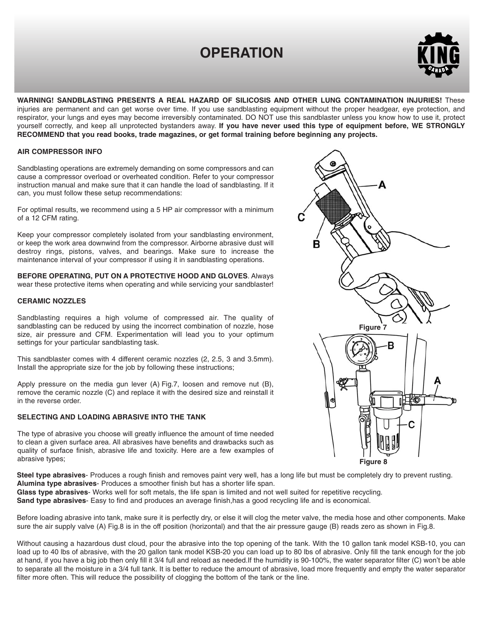## **OPERATION**



**WARNING! SANDBLASTING PRESENTS A REAL HAZARD OF SILICOSIS AND OTHER LUNG CONTAMINATION INJURIES!** These injuries are permanent and can get worse over time. If you use sandblasting equipment without the proper headgear, eye protection, and respirator, your lungs and eyes may become irreversibly contaminated. DO NOT use this sandblaster unless you know how to use it, protect yourself correctly, and keep all unprotected bystanders away. **If you have never used this type of equipment before, WE STRONGLY RECOMMEND that you read books, trade magazines, or get formal training before beginning any projects.**

#### **AIR COMPRESSOR INFO**

Sandblasting operations are extremely demanding on some compressors and can cause a compressor overload or overheated condition. Refer to your compressor instruction manual and make sure that it can handle the load of sandblasting. If it can, you must follow these setup recommendations:

For optimal results, we recommend using a 5 HP air compressor with a minimum of a 12 CFM rating.

Keep your compressor completely isolated from your sandblasting environment, or keep the work area downwind from the compressor. Airborne abrasive dust will destroy rings, pistons, valves, and bearings. Make sure to increase the maintenance interval of your compressor if using it in sandblasting operations.

**BEFORE OPERATING, PUT ON A PROTECTIVE HOOD AND GLOVES**. Always wear these protective items when operating and while servicing your sandblaster!

#### **CERAMIC NOZZLES**

Sandblasting requires a high volume of compressed air. The quality of sandblasting can be reduced by using the incorrect combination of nozzle, hose size, air pressure and CFM. Experimentation will lead you to your optimum settings for your particular sandblasting task.

This sandblaster comes with 4 different ceramic nozzles (2, 2.5, 3 and 3.5mm). Install the appropriate size for the job by following these instructions;

Apply pressure on the media gun lever (A) Fig.7, loosen and remove nut (B), remove the ceramic nozzle (C) and replace it with the desired size and reinstall it in the reverse order.

#### **SELECTING AND LOADING ABRASIVE INTO THE TANK**

The type of abrasive you choose will greatly influence the amount of time needed to clean a given surface area. All abrasives have benefits and drawbacks such as quality of surface finish, abrasive life and toxicity. Here are a few examples of abrasive types;



**Figure 8**

**Steel type abrasives**- Produces a rough finish and removes paint very well, has a long life but must be completely dry to prevent rusting. **Alumina type abrasives**- Produces a smoother finish but has a shorter life span.

**Glass type abrasives**- Works well for soft metals, the life span is limited and not well suited for repetitive recycling.

**Sand type abrasives**- Easy to find and produces an average finish,has a good recycling life and is economical.

Before loading abrasive into tank, make sure it is perfectly dry, or else it will clog the meter valve, the media hose and other components. Make sure the air supply valve (A) Fig.8 is in the off position (horizontal) and that the air pressure gauge (B) reads zero as shown in Fig.8.

Without causing a hazardous dust cloud, pour the abrasive into the top opening of the tank. With the 10 gallon tank model KSB-10, you can load up to 40 lbs of abrasive, with the 20 gallon tank model KSB-20 you can load up to 80 lbs of abrasive. Only fill the tank enough for the job at hand, if you have a big job then only fill it 3/4 full and reload as needed.If the humidity is 90-100%, the water separator filter (C) won't be able to separate all the moisture in a 3/4 full tank. It is better to reduce the amount of abrasive, load more frequently and empty the water separator filter more often. This will reduce the possibility of clogging the bottom of the tank or the line.